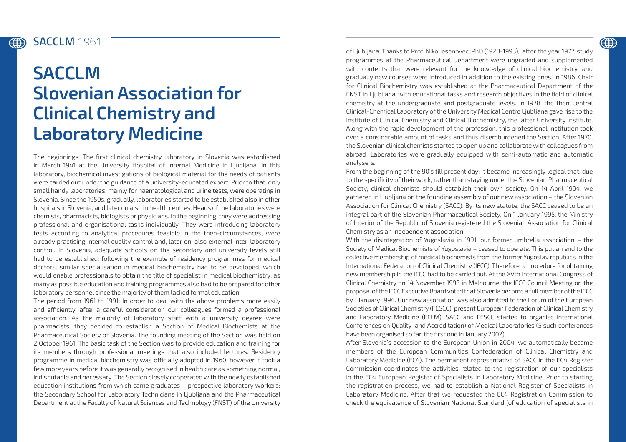## **ED**

## SACCLM **1961** (#)

## **SACCLM Slovenian Association for Clinical Chemistry and Laboratory Medicine**

The beginnings: The first clinical chemistry laboratory in Slovenia was established in March 1941 at the University Hospital of Internal Medicine in Ljubljana. In this laboratory, biochemical investigations of biological material for the needs of patients were carried out under the guidance of a university-educated expert. Prior to that, only small handy laboratories, mainly for haematological and urine tests, were operating in Slovenia. Since the 1950s, gradually, laboratories started to be established also in other hospitals in Slovenia, and later on also in health centres. Heads of the laboratories were chemists, pharmacists, biologists or physicians. In the beginning, they were addressing professional and organisational tasks individually. They were introducing laboratory tests according to analytical procedures feasible in the then-circumstances, were already practising internal quality control and, later on, also external inter-laboratory control. In Slovenia, adequate schools on the secondary and university levels still had to be established; following the example of residency programmes for medical doctors, similar specialisation in medical biochemistry had to be developed, which would enable professionals to obtain the title of specialist in medical biochemistry; as many as possible education and training programmes also had to be prepared for other laboratory personnel since the majority of them lacked formal education.

The period from 1961 to 1991: In order to deal with the above problems more easily and efficiently, after a careful consideration our colleagues formed a professional association. As the majority of laboratory staff with a university degree were pharmacists, they decided to establish a Section of Medical Biochemists at the Pharmaceutical Society of Slovenia. The founding meeting of the Section was held on 2 October 1961. The basic task of the Section was to provide education and training for its members through professional meetings that also included lectures. Residency programme in medical biochemistry was officially adopted in 1960, however it took a few more years before it was generally recognised in health care as something normal, indisputable and necessary. The Section closely cooperated with the newly established education institutions from which came graduates – prospective laboratory workers: the Secondary School for Laboratory Technicians in Ljubljana and the Pharmaceutical Department at the Faculty of Natural Sciences and Technology (FNST) of the University of Ljubljana. Thanks to Prof. Niko Jesenovec, PhD (1928-1993), after the year 1977, study programmes at the Pharmaceutical Department were upgraded and supplemented with contents that were relevant for the knowledge of clinical biochemistry, and gradually new courses were introduced in addition to the existing ones. In 1986, Chair for Clinical Biochemistry was established at the Pharmaceutical Department of the FNST in Ljubljana, with educational tasks and research objectives in the field of clinical chemistry at the undergraduate and postgraduate levels. In 1978, the then Central Clinical-Chemical Laboratory of the University Medical Centre Ljubljana gave rise to the Institute of Clinical Chemistry and Clinical Biochemistry, the latter University Institute. Along with the rapid development of the profession, this professional institution took over a considerable amount of tasks and thus disemburdened the Section. After 1970, the Slovenian clinical chemists started to open up and collaborate with colleagues from abroad. Laboratories were gradually equipped with semi-automatic and automatic analysers.

From the beginning of the 90's till present day: It became increasingly logical that, due to the specificity of their work, rather than staying under the Slovenian Pharmaceutical Society, clinical chemists should establish their own society. On 14 April 1994, we gathered in Ljubljana on the founding assembly of our new association – the Slovenian Association for Clinical Chemistry (SACC). By its new statute, the SACC ceased to be an integral part of the Slovenian Pharmaceutical Society. On 1 January 1995, the Ministry of Interior of the Republic of Slovenia registered the Slovenian Association for Clinical Chemistry as an independent association.

With the disintegration of Yugoslavia in 1991, our former umbrella association – the Society of Medical Biochemists of Yugoslavia – ceased to operate. This put an end to the collective membership of medical biochemists from the former Yugoslav republics in the International Federation of Clinical Chemistry (IFCC). Therefore, a procedure for obtaining new membership in the IFCC had to be carried out. At the XVth International Congress of Clinical Chemistry on 14 November 1993 in Melbourne, the IFCC Council Meeting on the proposal of the IFCC Executive Board voted that Slovenia become a full member of the IFCC by 1 January 1994. Our new association was also admitted to the Forum of the European Societies of Clinical Chemistry (FESCC), present European Federation of Clinical Chemistry and Laboratory Medicine (EFLM). SACC and FESCC started to organise International Conferences on Quality (and Accreditation) of Medical Laboratories (5 such conferences have been organised so far, the first one in January 2002).

After Slovenia's accession to the European Union in 2004, we automatically became members of the European Communities Confederation of Clinical Chemistry and Laboratory Medicine (EC4). The permanent representative of SACC in the EC4 Register Commission coordinates the activities related to the registration of our specialists in the EC4 European Register of Specialists in Laboratory Medicine. Prior to starting the registration process, we had to establish a National Register of Specialists in Laboratory Medicine. After that we requested the EC4 Registration Commission to check the equivalence of Slovenian National Standard (of education of specialists in